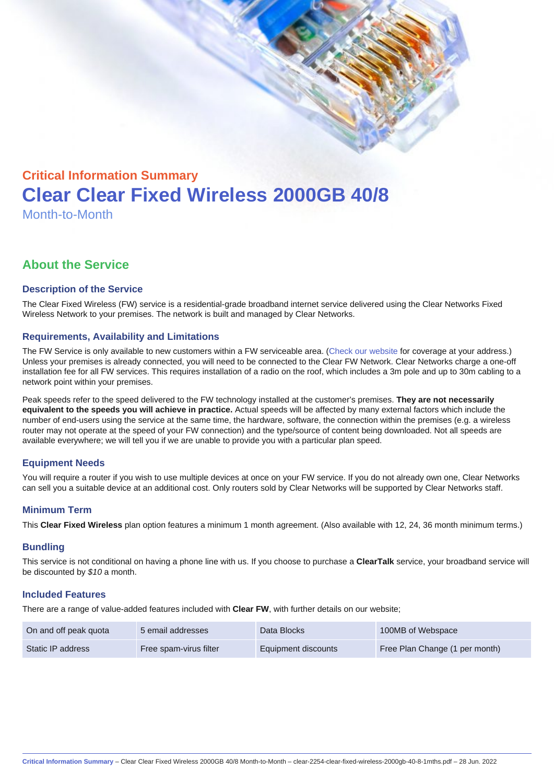# Critical Information Summary Clear Clear Fixed Wireless 2000GB 40/8 Month-to-Month

# About the Service

#### Description of the Service

The Clear Fixed Wireless (FW) service is a residential-grade broadband internet service delivered using the Clear Networks Fixed Wireless Network to your premises. The network is built and managed by Clear Networks.

#### Requirements, Availability and Limitations

The FW Service is only available to new customers within a FW serviceable area. ([Check our website](https://www.clear.com.au/residential/fixed-wireless/) for coverage at your address.) Unless your premises is already connected, you will need to be connected to the Clear FW Network. Clear Networks charge a one-off installation fee for all FW services. This requires installation of a radio on the roof, which includes a 3m pole and up to 30m cabling to a network point within your premises.

Peak speeds refer to the speed delivered to the FW technology installed at the customer's premises. They are not necessarily equivalent to the speeds you will achieve in practice. Actual speeds will be affected by many external factors which include the number of end-users using the service at the same time, the hardware, software, the connection within the premises (e.g. a wireless router may not operate at the speed of your FW connection) and the type/source of content being downloaded. Not all speeds are available everywhere; we will tell you if we are unable to provide you with a particular plan speed.

# Equipment Needs

You will require a router if you wish to use multiple devices at once on your FW service. If you do not already own one, Clear Networks can sell you a suitable device at an additional cost. Only routers sold by Clear Networks will be supported by Clear Networks staff.

#### Minimum Term

This Clear Fixed Wireless plan option features a minimum 1 month agreement. (Also available with 12, 24, 36 month minimum terms.)

#### **Bundling**

This service is not conditional on having a phone line with us. If you choose to purchase a ClearTalk service, your broadband service will be discounted by \$10 a month.

#### Included Features

There are a range of value-added features included with Clear FW, with further details on our website;

| On and off peak quota | 5 email addresses      | Data Blocks         | 100MB of Webspace              |
|-----------------------|------------------------|---------------------|--------------------------------|
| Static IP address     | Free spam-virus filter | Equipment discounts | Free Plan Change (1 per month) |